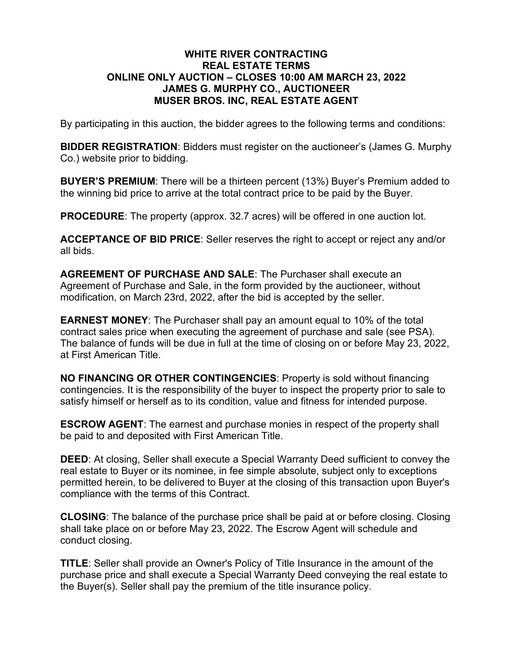### **WHITE RIVER CONTRACTING REAL ESTATE TERMS ONLINE ONLY AUCTION – CLOSES 10:00 AM MARCH 23, 2022 JAMES G. MURPHY CO., AUCTIONEER MUSER BROS. INC, REAL ESTATE AGENT**

By participating in this auction, the bidder agrees to the following terms and conditions:

**BIDDER REGISTRATION**: Bidders must register on the auctioneer's (James G. Murphy Co.) website prior to bidding.

**BUYER'S PREMIUM**: There will be a thirteen percent (13%) Buyer's Premium added to the winning bid price to arrive at the total contract price to be paid by the Buyer.

**PROCEDURE**: The property (approx. 32.7 acres) will be offered in one auction lot.

**ACCEPTANCE OF BID PRICE**: Seller reserves the right to accept or reject any and/or all bids.

**AGREEMENT OF PURCHASE AND SALE**: The Purchaser shall execute an Agreement of Purchase and Sale, in the form provided by the auctioneer, without modification, on March 23rd, 2022, after the bid is accepted by the seller.

**EARNEST MONEY**: The Purchaser shall pay an amount equal to 10% of the total contract sales price when executing the agreement of purchase and sale (see PSA). The balance of funds will be due in full at the time of closing on or before May 23, 2022, at First American Title.

**NO FINANCING OR OTHER CONTINGENCIES**: Property is sold without financing contingencies. It is the responsibility of the buyer to inspect the property prior to sale to satisfy himself or herself as to its condition, value and fitness for intended purpose.

**ESCROW AGENT**: The earnest and purchase monies in respect of the property shall be paid to and deposited with First American Title.

**DEED**: At closing, Seller shall execute a Special Warranty Deed sufficient to convey the real estate to Buyer or its nominee, in fee simple absolute, subject only to exceptions permitted herein, to be delivered to Buyer at the closing of this transaction upon Buyer's compliance with the terms of this Contract.

**CLOSING**: The balance of the purchase price shall be paid at or before closing. Closing shall take place on or before May 23, 2022. The Escrow Agent will schedule and conduct closing.

**TITLE**: Seller shall provide an Owner's Policy of Title Insurance in the amount of the purchase price and shall execute a Special Warranty Deed conveying the real estate to the Buyer(s). Seller shall pay the premium of the title insurance policy.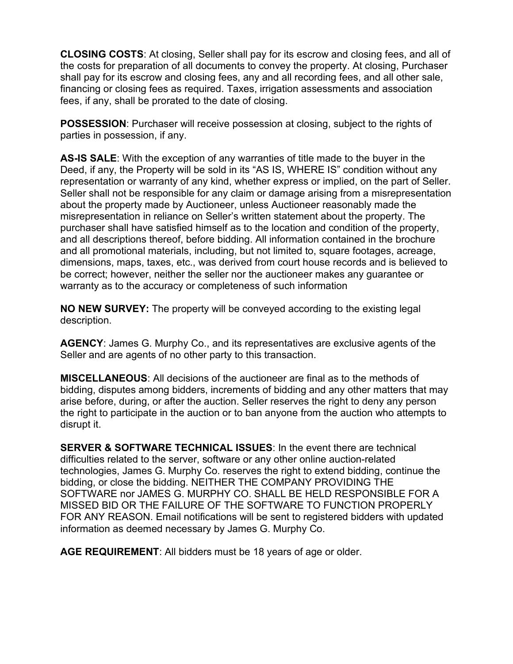**CLOSING COSTS**: At closing, Seller shall pay for its escrow and closing fees, and all of the costs for preparation of all documents to convey the property. At closing, Purchaser shall pay for its escrow and closing fees, any and all recording fees, and all other sale, financing or closing fees as required. Taxes, irrigation assessments and association fees, if any, shall be prorated to the date of closing.

**POSSESSION**: Purchaser will receive possession at closing, subject to the rights of parties in possession, if any.

**AS-IS SALE**: With the exception of any warranties of title made to the buyer in the Deed, if any, the Property will be sold in its "AS IS, WHERE IS" condition without any representation or warranty of any kind, whether express or implied, on the part of Seller. Seller shall not be responsible for any claim or damage arising from a misrepresentation about the property made by Auctioneer, unless Auctioneer reasonably made the misrepresentation in reliance on Seller's written statement about the property. The purchaser shall have satisfied himself as to the location and condition of the property, and all descriptions thereof, before bidding. All information contained in the brochure and all promotional materials, including, but not limited to, square footages, acreage, dimensions, maps, taxes, etc., was derived from court house records and is believed to be correct; however, neither the seller nor the auctioneer makes any guarantee or warranty as to the accuracy or completeness of such information

**NO NEW SURVEY:** The property will be conveyed according to the existing legal description.

**AGENCY**: James G. Murphy Co., and its representatives are exclusive agents of the Seller and are agents of no other party to this transaction.

**MISCELLANEOUS**: All decisions of the auctioneer are final as to the methods of bidding, disputes among bidders, increments of bidding and any other matters that may arise before, during, or after the auction. Seller reserves the right to deny any person the right to participate in the auction or to ban anyone from the auction who attempts to disrupt it.

**SERVER & SOFTWARE TECHNICAL ISSUES**: In the event there are technical difficulties related to the server, software or any other online auction-related technologies, James G. Murphy Co. reserves the right to extend bidding, continue the bidding, or close the bidding. NEITHER THE COMPANY PROVIDING THE SOFTWARE nor JAMES G. MURPHY CO. SHALL BE HELD RESPONSIBLE FOR A MISSED BID OR THE FAILURE OF THE SOFTWARE TO FUNCTION PROPERLY FOR ANY REASON. Email notifications will be sent to registered bidders with updated information as deemed necessary by James G. Murphy Co.

**AGE REQUIREMENT**: All bidders must be 18 years of age or older.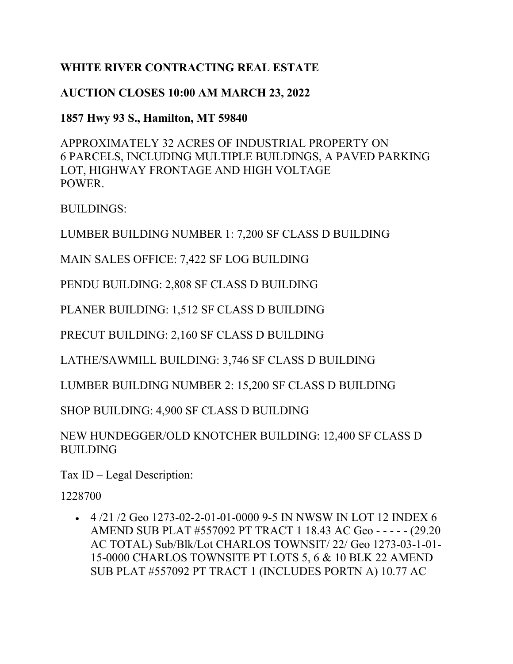# **WHITE RIVER CONTRACTING REAL ESTATE**

# **AUCTION CLOSES 10:00 AM MARCH 23, 2022**

## **1857 Hwy 93 S., Hamilton, MT 59840**

APPROXIMATELY 32 ACRES OF INDUSTRIAL PROPERTY ON 6 PARCELS, INCLUDING MULTIPLE BUILDINGS, A PAVED PARKING LOT, HIGHWAY FRONTAGE AND HIGH VOLTAGE POWER.

BUILDINGS:

LUMBER BUILDING NUMBER 1: 7,200 SF CLASS D BUILDING

MAIN SALES OFFICE: 7,422 SF LOG BUILDING

PENDU BUILDING: 2,808 SF CLASS D BUILDING

PLANER BUILDING: 1,512 SF CLASS D BUILDING

PRECUT BUILDING: 2,160 SF CLASS D BUILDING

LATHE/SAWMILL BUILDING: 3,746 SF CLASS D BUILDING

LUMBER BUILDING NUMBER 2: 15,200 SF CLASS D BUILDING

SHOP BUILDING: 4,900 SF CLASS D BUILDING

NEW HUNDEGGER/OLD KNOTCHER BUILDING: 12,400 SF CLASS D BUILDING

Tax ID – Legal Description:

1228700

•  $4/21/2$  Geo 1273-02-2-01-01-0000 9-5 IN NWSW IN LOT 12 INDEX 6 AMEND SUB PLAT #557092 PT TRACT 1 18.43 AC Geo - - - - - (29.20 AC TOTAL) Sub/Blk/Lot CHARLOS TOWNSIT/ 22/ Geo 1273-03-1-01- 15-0000 CHARLOS TOWNSITE PT LOTS 5, 6 & 10 BLK 22 AMEND SUB PLAT #557092 PT TRACT 1 (INCLUDES PORTN A) 10.77 AC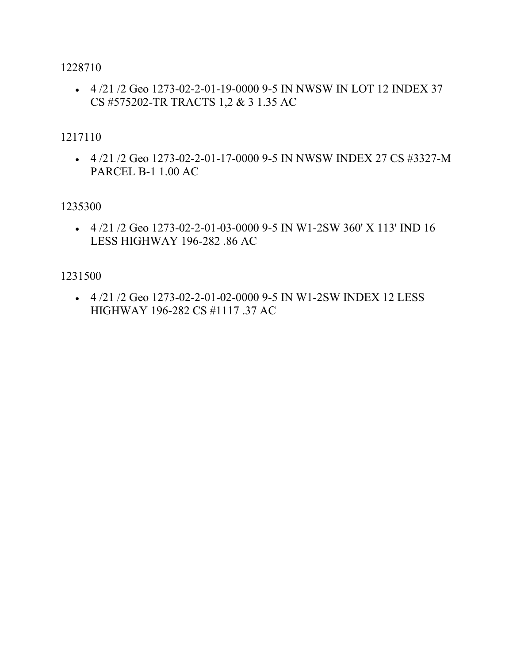1228710

• 4 /21 /2 Geo 1273-02-2-01-19-0000 9-5 IN NWSW IN LOT 12 INDEX 37 CS #575202-TR TRACTS 1,2 & 3 1.35 AC

## 1217110

• 4 /21 /2 Geo 1273-02-2-01-17-0000 9-5 IN NWSW INDEX 27 CS #3327-M PARCEL B-1 1.00 AC

1235300

•  $4/21/2$  Geo 1273-02-2-01-03-0000 9-5 IN W1-2SW 360' X 113' IND 16 LESS HIGHWAY 196-282 .86 AC

1231500

• 4 /21 /2 Geo 1273-02-2-01-02-0000 9-5 IN W1-2SW INDEX 12 LESS HIGHWAY 196-282 CS #1117 .37 AC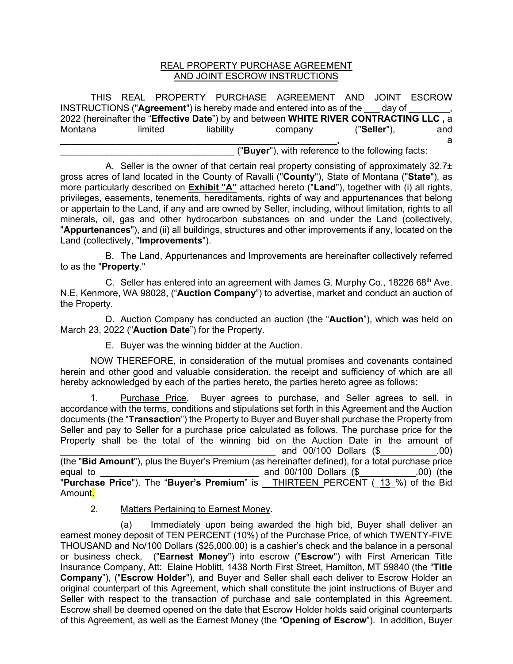#### REAL PROPERTY PURCHASE AGREEMENT AND JOINT ESCROW INSTRUCTIONS

THIS REAL PROPERTY PURCHASE AGREEMENT AND JOINT ESCROW INSTRUCTIONS ("**Agreement**") is hereby made and entered into as of the \_\_\_ day of \_\_\_\_\_\_\_\_, 2022 (hereinafter the "**Effective Date**") by and between **WHITE RIVER CONTRACTING LLC ,** a Montana limited liability company ("**Seller**"), and **\_\_\_\_\_\_\_\_\_\_\_\_\_\_\_\_\_\_\_\_\_\_\_\_\_\_\_\_\_\_\_\_\_\_\_\_\_\_\_\_\_\_\_\_\_\_\_\_\_\_\_\_\_\_,** a \_\_\_\_\_\_\_\_\_\_\_\_\_\_\_\_\_\_\_\_\_\_\_\_\_\_\_\_\_\_\_\_\_\_ ("**Buyer**"), with reference to the following facts:

A. Seller is the owner of that certain real property consisting of approximately  $32.7<sub>\pm</sub>$ gross acres of land located in the County of Ravalli ("**County**"), State of Montana ("**State**"), as more particularly described on **Exhibit "A"** attached hereto ("**Land**"), together with (i) all rights, privileges, easements, tenements, hereditaments, rights of way and appurtenances that belong or appertain to the Land, if any and are owned by Seller, including, without limitation, rights to all minerals, oil, gas and other hydrocarbon substances on and under the Land (collectively, "**Appurtenances**"), and (ii) all buildings, structures and other improvements if any, located on the Land (collectively, "**Improvements**").

B. The Land, Appurtenances and Improvements are hereinafter collectively referred to as the "**Property**."

C. Seller has entered into an agreement with James G. Murphy Co., 18226 68<sup>th</sup> Ave. N.E, Kenmore, WA 98028, ("**Auction Company**") to advertise, market and conduct an auction of the Property.

D. Auction Company has conducted an auction (the "**Auction**"), which was held on March 23, 2022 ("**Auction Date**") for the Property.

E. Buyer was the winning bidder at the Auction.

NOW THEREFORE, in consideration of the mutual promises and covenants contained herein and other good and valuable consideration, the receipt and sufficiency of which are all hereby acknowledged by each of the parties hereto, the parties hereto agree as follows:

1. Purchase Price. Buyer agrees to purchase, and Seller agrees to sell, in accordance with the terms, conditions and stipulations set forth in this Agreement and the Auction documents (the "**Transaction**") the Property to Buyer and Buyer shall purchase the Property from Seller and pay to Seller for a purchase price calculated as follows. The purchase price for the Property shall be the total of the winning bid on the Auction Date in the amount of  $_2$  and 00/100 Dollars (\$  $.00)$ (the "**Bid Amount**"), plus the Buyer's Premium (as hereinafter defined), for a total purchase price equal to **Example 20** and 00/100 Dollars (\$  $\qquad \qquad .00)$  (the

"**Purchase Price**"). The "**Buyer's Premium**" is \_\_THIRTEEN\_PERCENT (\_13\_%) of the Bid Amount.

2. Matters Pertaining to Earnest Money.

(a) Immediately upon being awarded the high bid, Buyer shall deliver an earnest money deposit of TEN PERCENT (10%) of the Purchase Price, of which TWENTY-FIVE THOUSAND and No/100 Dollars (\$25,000.00) is a cashier's check and the balance in a personal or business check, ("**Earnest Money**") into escrow ("**Escrow**") with First American Title Insurance Company, Att: Elaine Hoblitt, 1438 North First Street, Hamilton, MT 59840 (the "**Title Company**"), ("**Escrow Holder**"), and Buyer and Seller shall each deliver to Escrow Holder an original counterpart of this Agreement, which shall constitute the joint instructions of Buyer and Seller with respect to the transaction of purchase and sale contemplated in this Agreement. Escrow shall be deemed opened on the date that Escrow Holder holds said original counterparts of this Agreement, as well as the Earnest Money (the "**Opening of Escrow**"). In addition, Buyer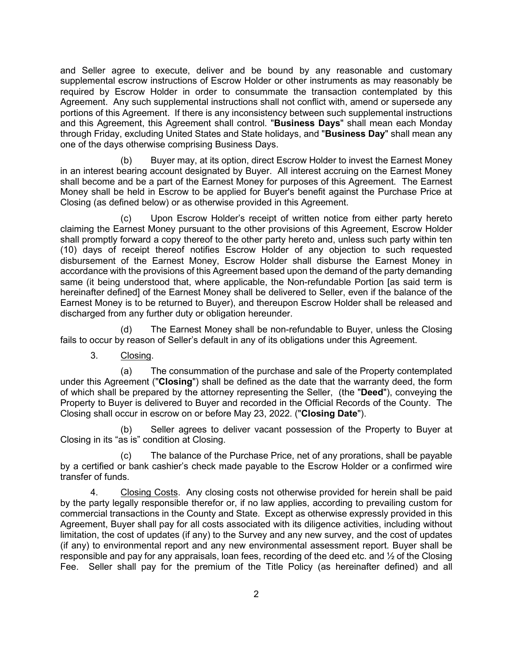and Seller agree to execute, deliver and be bound by any reasonable and customary supplemental escrow instructions of Escrow Holder or other instruments as may reasonably be required by Escrow Holder in order to consummate the transaction contemplated by this Agreement. Any such supplemental instructions shall not conflict with, amend or supersede any portions of this Agreement. If there is any inconsistency between such supplemental instructions and this Agreement, this Agreement shall control. "**Business Days**" shall mean each Monday through Friday, excluding United States and State holidays, and "**Business Day**" shall mean any one of the days otherwise comprising Business Days.

(b) Buyer may, at its option, direct Escrow Holder to invest the Earnest Money in an interest bearing account designated by Buyer. All interest accruing on the Earnest Money shall become and be a part of the Earnest Money for purposes of this Agreement. The Earnest Money shall be held in Escrow to be applied for Buyer's benefit against the Purchase Price at Closing (as defined below) or as otherwise provided in this Agreement.

(c) Upon Escrow Holder's receipt of written notice from either party hereto claiming the Earnest Money pursuant to the other provisions of this Agreement, Escrow Holder shall promptly forward a copy thereof to the other party hereto and, unless such party within ten (10) days of receipt thereof notifies Escrow Holder of any objection to such requested disbursement of the Earnest Money, Escrow Holder shall disburse the Earnest Money in accordance with the provisions of this Agreement based upon the demand of the party demanding same (it being understood that, where applicable, the Non-refundable Portion [as said term is hereinafter defined] of the Earnest Money shall be delivered to Seller, even if the balance of the Earnest Money is to be returned to Buyer), and thereupon Escrow Holder shall be released and discharged from any further duty or obligation hereunder.

(d) The Earnest Money shall be non-refundable to Buyer, unless the Closing fails to occur by reason of Seller's default in any of its obligations under this Agreement.

3. Closing.

(a) The consummation of the purchase and sale of the Property contemplated under this Agreement ("**Closing**") shall be defined as the date that the warranty deed, the form of which shall be prepared by the attorney representing the Seller, (the "**Deed**"), conveying the Property to Buyer is delivered to Buyer and recorded in the Official Records of the County. The Closing shall occur in escrow on or before May 23, 2022. ("**Closing Date**").

(b) Seller agrees to deliver vacant possession of the Property to Buyer at Closing in its "as is" condition at Closing.

(c) The balance of the Purchase Price, net of any prorations, shall be payable by a certified or bank cashier's check made payable to the Escrow Holder or a confirmed wire transfer of funds.

4. Closing Costs. Any closing costs not otherwise provided for herein shall be paid by the party legally responsible therefor or, if no law applies, according to prevailing custom for commercial transactions in the County and State. Except as otherwise expressly provided in this Agreement, Buyer shall pay for all costs associated with its diligence activities, including without limitation, the cost of updates (if any) to the Survey and any new survey, and the cost of updates (if any) to environmental report and any new environmental assessment report. Buyer shall be responsible and pay for any appraisals, loan fees, recording of the deed etc. and  $\frac{1}{2}$  of the Closing Fee. Seller shall pay for the premium of the Title Policy (as hereinafter defined) and all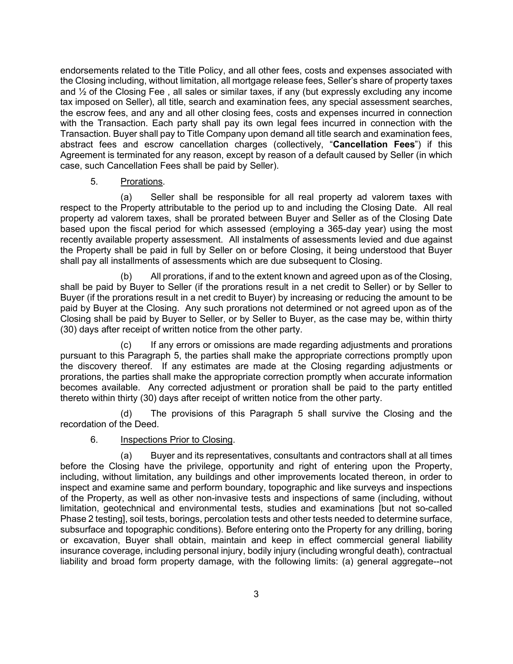endorsements related to the Title Policy, and all other fees, costs and expenses associated with the Closing including, without limitation, all mortgage release fees, Seller's share of property taxes and  $\frac{1}{2}$  of the Closing Fee, all sales or similar taxes, if any (but expressly excluding any income tax imposed on Seller), all title, search and examination fees, any special assessment searches, the escrow fees, and any and all other closing fees, costs and expenses incurred in connection with the Transaction. Each party shall pay its own legal fees incurred in connection with the Transaction. Buyer shall pay to Title Company upon demand all title search and examination fees, abstract fees and escrow cancellation charges (collectively, "**Cancellation Fees**") if this Agreement is terminated for any reason, except by reason of a default caused by Seller (in which case, such Cancellation Fees shall be paid by Seller).

#### 5. Prorations.

(a) Seller shall be responsible for all real property ad valorem taxes with respect to the Property attributable to the period up to and including the Closing Date. All real property ad valorem taxes, shall be prorated between Buyer and Seller as of the Closing Date based upon the fiscal period for which assessed (employing a 365-day year) using the most recently available property assessment. All instalments of assessments levied and due against the Property shall be paid in full by Seller on or before Closing, it being understood that Buyer shall pay all installments of assessments which are due subsequent to Closing.

(b) All prorations, if and to the extent known and agreed upon as of the Closing, shall be paid by Buyer to Seller (if the prorations result in a net credit to Seller) or by Seller to Buyer (if the prorations result in a net credit to Buyer) by increasing or reducing the amount to be paid by Buyer at the Closing. Any such prorations not determined or not agreed upon as of the Closing shall be paid by Buyer to Seller, or by Seller to Buyer, as the case may be, within thirty (30) days after receipt of written notice from the other party.

(c) If any errors or omissions are made regarding adjustments and prorations pursuant to this Paragraph 5, the parties shall make the appropriate corrections promptly upon the discovery thereof. If any estimates are made at the Closing regarding adjustments or prorations, the parties shall make the appropriate correction promptly when accurate information becomes available. Any corrected adjustment or proration shall be paid to the party entitled thereto within thirty (30) days after receipt of written notice from the other party.

(d) The provisions of this Paragraph 5 shall survive the Closing and the recordation of the Deed.

#### 6. Inspections Prior to Closing.

(a) Buyer and its representatives, consultants and contractors shall at all times before the Closing have the privilege, opportunity and right of entering upon the Property, including, without limitation, any buildings and other improvements located thereon, in order to inspect and examine same and perform boundary, topographic and like surveys and inspections of the Property, as well as other non-invasive tests and inspections of same (including, without limitation, geotechnical and environmental tests, studies and examinations [but not so-called Phase 2 testing], soil tests, borings, percolation tests and other tests needed to determine surface, subsurface and topographic conditions). Before entering onto the Property for any drilling, boring or excavation, Buyer shall obtain, maintain and keep in effect commercial general liability insurance coverage, including personal injury, bodily injury (including wrongful death), contractual liability and broad form property damage, with the following limits: (a) general aggregate--not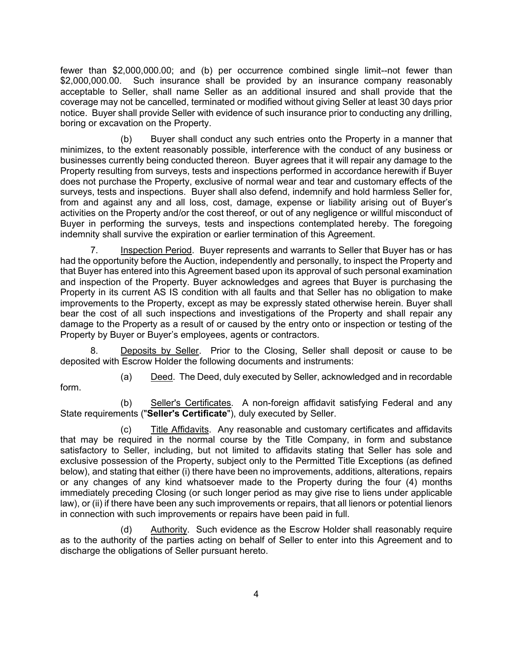fewer than \$2,000,000.00; and (b) per occurrence combined single limit--not fewer than \$2,000,000.00. Such insurance shall be provided by an insurance company reasonably acceptable to Seller, shall name Seller as an additional insured and shall provide that the coverage may not be cancelled, terminated or modified without giving Seller at least 30 days prior notice. Buyer shall provide Seller with evidence of such insurance prior to conducting any drilling, boring or excavation on the Property.

(b) Buyer shall conduct any such entries onto the Property in a manner that minimizes, to the extent reasonably possible, interference with the conduct of any business or businesses currently being conducted thereon. Buyer agrees that it will repair any damage to the Property resulting from surveys, tests and inspections performed in accordance herewith if Buyer does not purchase the Property, exclusive of normal wear and tear and customary effects of the surveys, tests and inspections. Buyer shall also defend, indemnify and hold harmless Seller for, from and against any and all loss, cost, damage, expense or liability arising out of Buyer's activities on the Property and/or the cost thereof, or out of any negligence or willful misconduct of Buyer in performing the surveys, tests and inspections contemplated hereby. The foregoing indemnity shall survive the expiration or earlier termination of this Agreement.

7. Inspection Period. Buyer represents and warrants to Seller that Buyer has or has had the opportunity before the Auction, independently and personally, to inspect the Property and that Buyer has entered into this Agreement based upon its approval of such personal examination and inspection of the Property. Buyer acknowledges and agrees that Buyer is purchasing the Property in its current AS IS condition with all faults and that Seller has no obligation to make improvements to the Property, except as may be expressly stated otherwise herein. Buyer shall bear the cost of all such inspections and investigations of the Property and shall repair any damage to the Property as a result of or caused by the entry onto or inspection or testing of the Property by Buyer or Buyer's employees, agents or contractors.

8. Deposits by Seller. Prior to the Closing, Seller shall deposit or cause to be deposited with Escrow Holder the following documents and instruments:

form.

(a) Deed. The Deed, duly executed by Seller, acknowledged and in recordable

(b) Seller's Certificates. A non-foreign affidavit satisfying Federal and any State requirements ("**Seller's Certificate**"), duly executed by Seller.

(c) Title Affidavits. Any reasonable and customary certificates and affidavits that may be required in the normal course by the Title Company, in form and substance satisfactory to Seller, including, but not limited to affidavits stating that Seller has sole and exclusive possession of the Property, subject only to the Permitted Title Exceptions (as defined below), and stating that either (i) there have been no improvements, additions, alterations, repairs or any changes of any kind whatsoever made to the Property during the four (4) months immediately preceding Closing (or such longer period as may give rise to liens under applicable law), or (ii) if there have been any such improvements or repairs, that all lienors or potential lienors in connection with such improvements or repairs have been paid in full.

(d) Authority. Such evidence as the Escrow Holder shall reasonably require as to the authority of the parties acting on behalf of Seller to enter into this Agreement and to discharge the obligations of Seller pursuant hereto.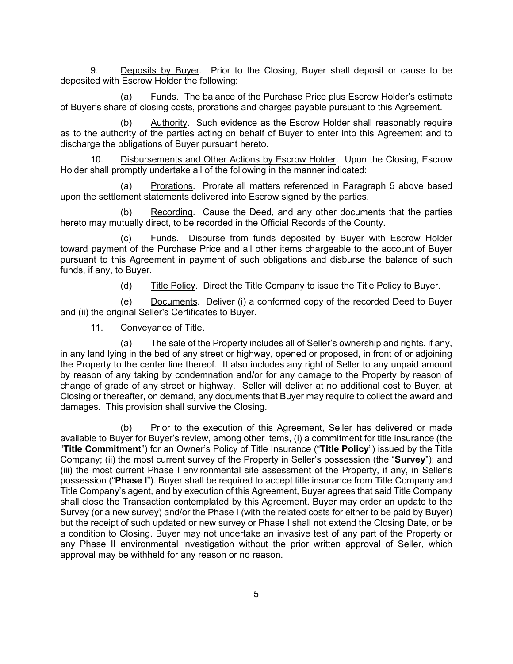9. Deposits by Buyer. Prior to the Closing, Buyer shall deposit or cause to be deposited with Escrow Holder the following:

(a) Eunds. The balance of the Purchase Price plus Escrow Holder's estimate of Buyer's share of closing costs, prorations and charges payable pursuant to this Agreement.

(b) Authority. Such evidence as the Escrow Holder shall reasonably require as to the authority of the parties acting on behalf of Buyer to enter into this Agreement and to discharge the obligations of Buyer pursuant hereto.

10. Disbursements and Other Actions by Escrow Holder. Upon the Closing, Escrow Holder shall promptly undertake all of the following in the manner indicated:

(a) Prorations. Prorate all matters referenced in Paragraph 5 above based upon the settlement statements delivered into Escrow signed by the parties.

(b) Recording. Cause the Deed, and any other documents that the parties hereto may mutually direct, to be recorded in the Official Records of the County.

(c) Funds. Disburse from funds deposited by Buyer with Escrow Holder toward payment of the Purchase Price and all other items chargeable to the account of Buyer pursuant to this Agreement in payment of such obligations and disburse the balance of such funds, if any, to Buyer.

(d) Title Policy. Direct the Title Company to issue the Title Policy to Buyer.

(e) Documents. Deliver (i) a conformed copy of the recorded Deed to Buyer and (ii) the original Seller's Certificates to Buyer.

11. Conveyance of Title.

(a) The sale of the Property includes all of Seller's ownership and rights, if any, in any land lying in the bed of any street or highway, opened or proposed, in front of or adjoining the Property to the center line thereof. It also includes any right of Seller to any unpaid amount by reason of any taking by condemnation and/or for any damage to the Property by reason of change of grade of any street or highway. Seller will deliver at no additional cost to Buyer, at Closing or thereafter, on demand, any documents that Buyer may require to collect the award and damages. This provision shall survive the Closing.

(b) Prior to the execution of this Agreement, Seller has delivered or made available to Buyer for Buyer's review, among other items, (i) a commitment for title insurance (the "**Title Commitment**") for an Owner's Policy of Title Insurance ("**Title Policy**") issued by the Title Company; (ii) the most current survey of the Property in Seller's possession (the "**Survey**"); and (iii) the most current Phase I environmental site assessment of the Property, if any, in Seller's possession ("**Phase I**"). Buyer shall be required to accept title insurance from Title Company and Title Company's agent, and by execution of this Agreement, Buyer agrees that said Title Company shall close the Transaction contemplated by this Agreement. Buyer may order an update to the Survey (or a new survey) and/or the Phase I (with the related costs for either to be paid by Buyer) but the receipt of such updated or new survey or Phase I shall not extend the Closing Date, or be a condition to Closing. Buyer may not undertake an invasive test of any part of the Property or any Phase II environmental investigation without the prior written approval of Seller, which approval may be withheld for any reason or no reason.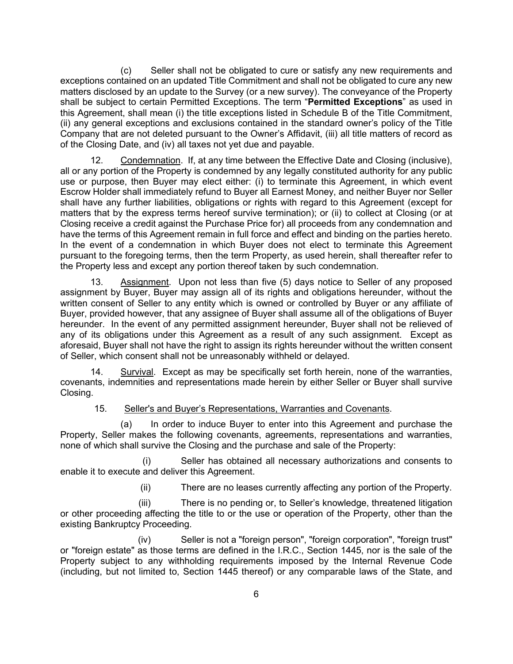(c) Seller shall not be obligated to cure or satisfy any new requirements and exceptions contained on an updated Title Commitment and shall not be obligated to cure any new matters disclosed by an update to the Survey (or a new survey). The conveyance of the Property shall be subject to certain Permitted Exceptions. The term "**Permitted Exceptions**" as used in this Agreement, shall mean (i) the title exceptions listed in Schedule B of the Title Commitment, (ii) any general exceptions and exclusions contained in the standard owner's policy of the Title Company that are not deleted pursuant to the Owner's Affidavit, (iii) all title matters of record as of the Closing Date, and (iv) all taxes not yet due and payable.

12. Condemnation. If, at any time between the Effective Date and Closing (inclusive), all or any portion of the Property is condemned by any legally constituted authority for any public use or purpose, then Buyer may elect either: (i) to terminate this Agreement, in which event Escrow Holder shall immediately refund to Buyer all Earnest Money, and neither Buyer nor Seller shall have any further liabilities, obligations or rights with regard to this Agreement (except for matters that by the express terms hereof survive termination); or (ii) to collect at Closing (or at Closing receive a credit against the Purchase Price for) all proceeds from any condemnation and have the terms of this Agreement remain in full force and effect and binding on the parties hereto. In the event of a condemnation in which Buyer does not elect to terminate this Agreement pursuant to the foregoing terms, then the term Property, as used herein, shall thereafter refer to the Property less and except any portion thereof taken by such condemnation.

13. Assignment. Upon not less than five (5) days notice to Seller of any proposed assignment by Buyer, Buyer may assign all of its rights and obligations hereunder, without the written consent of Seller to any entity which is owned or controlled by Buyer or any affiliate of Buyer, provided however, that any assignee of Buyer shall assume all of the obligations of Buyer hereunder. In the event of any permitted assignment hereunder, Buyer shall not be relieved of any of its obligations under this Agreement as a result of any such assignment. Except as aforesaid, Buyer shall not have the right to assign its rights hereunder without the written consent of Seller, which consent shall not be unreasonably withheld or delayed.

14. Survival. Except as may be specifically set forth herein, none of the warranties, covenants, indemnities and representations made herein by either Seller or Buyer shall survive Closing.

15. Seller's and Buyer's Representations, Warranties and Covenants.

(a) In order to induce Buyer to enter into this Agreement and purchase the Property, Seller makes the following covenants, agreements, representations and warranties, none of which shall survive the Closing and the purchase and sale of the Property:

(i) Seller has obtained all necessary authorizations and consents to enable it to execute and deliver this Agreement.

(ii) There are no leases currently affecting any portion of the Property.

(iii) There is no pending or, to Seller's knowledge, threatened litigation or other proceeding affecting the title to or the use or operation of the Property, other than the existing Bankruptcy Proceeding.

(iv) Seller is not a "foreign person", "foreign corporation", "foreign trust" or "foreign estate" as those terms are defined in the I.R.C., Section 1445, nor is the sale of the Property subject to any withholding requirements imposed by the Internal Revenue Code (including, but not limited to, Section 1445 thereof) or any comparable laws of the State, and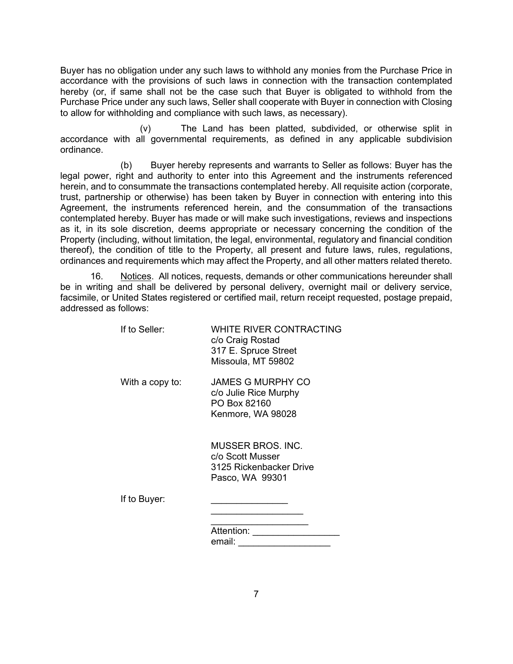Buyer has no obligation under any such laws to withhold any monies from the Purchase Price in accordance with the provisions of such laws in connection with the transaction contemplated hereby (or, if same shall not be the case such that Buyer is obligated to withhold from the Purchase Price under any such laws, Seller shall cooperate with Buyer in connection with Closing to allow for withholding and compliance with such laws, as necessary).

(v) The Land has been platted, subdivided, or otherwise split in accordance with all governmental requirements, as defined in any applicable subdivision ordinance.

(b) Buyer hereby represents and warrants to Seller as follows: Buyer has the legal power, right and authority to enter into this Agreement and the instruments referenced herein, and to consummate the transactions contemplated hereby. All requisite action (corporate, trust, partnership or otherwise) has been taken by Buyer in connection with entering into this Agreement, the instruments referenced herein, and the consummation of the transactions contemplated hereby. Buyer has made or will make such investigations, reviews and inspections as it, in its sole discretion, deems appropriate or necessary concerning the condition of the Property (including, without limitation, the legal, environmental, regulatory and financial condition thereof), the condition of title to the Property, all present and future laws, rules, regulations, ordinances and requirements which may affect the Property, and all other matters related thereto.

16. Notices. All notices, requests, demands or other communications hereunder shall be in writing and shall be delivered by personal delivery, overnight mail or delivery service, facsimile, or United States registered or certified mail, return receipt requested, postage prepaid, addressed as follows:

| If to Seller:   | WHITE RIVER CONTRACTING<br>c/o Craig Rostad<br>317 E. Spruce Street<br>Missoula, MT 59802 |
|-----------------|-------------------------------------------------------------------------------------------|
| With a copy to: | JAMES G MURPHY CO<br>c/o Julie Rice Murphy<br>PO Box 82160<br>Kenmore, WA 98028           |
|                 | MUSSER BROS. INC.<br>c/o Scott Musser<br>3125 Rickenbacker Drive<br>Pasco, WA 99301       |
| If to Buyer:    |                                                                                           |
|                 | Attention:                                                                                |
|                 | email:                                                                                    |
|                 |                                                                                           |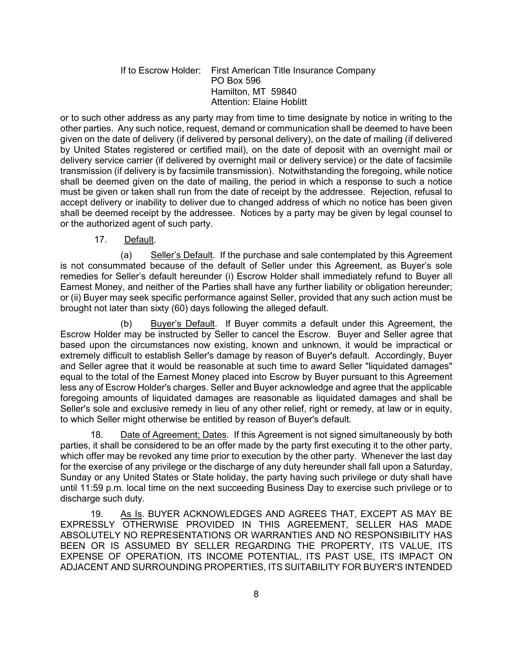#### If to Escrow Holder: First American Title Insurance Company PO Box 596 Hamilton, MT 59840 Attention: Elaine Hoblitt

or to such other address as any party may from time to time designate by notice in writing to the other parties. Any such notice, request, demand or communication shall be deemed to have been given on the date of delivery (if delivered by personal delivery), on the date of mailing (if delivered by United States registered or certified mail), on the date of deposit with an overnight mail or delivery service carrier (if delivered by overnight mail or delivery service) or the date of facsimile transmission (if delivery is by facsimile transmission). Notwithstanding the foregoing, while notice shall be deemed given on the date of mailing, the period in which a response to such a notice must be given or taken shall run from the date of receipt by the addressee. Rejection, refusal to accept delivery or inability to deliver due to changed address of which no notice has been given shall be deemed receipt by the addressee. Notices by a party may be given by legal counsel to or the authorized agent of such party.

17. Default.

(a) Seller's Default. If the purchase and sale contemplated by this Agreement is not consummated because of the default of Seller under this Agreement, as Buyer's sole remedies for Seller's default hereunder (i) Escrow Holder shall immediately refund to Buyer all Earnest Money, and neither of the Parties shall have any further liability or obligation hereunder; or (ii) Buyer may seek specific performance against Seller, provided that any such action must be brought not later than sixty (60) days following the alleged default.

(b) Buyer's Default. If Buyer commits a default under this Agreement, the Escrow Holder may be instructed by Seller to cancel the Escrow. Buyer and Seller agree that based upon the circumstances now existing, known and unknown, it would be impractical or extremely difficult to establish Seller's damage by reason of Buyer's default. Accordingly, Buyer and Seller agree that it would be reasonable at such time to award Seller "liquidated damages" equal to the total of the Earnest Money placed into Escrow by Buyer pursuant to this Agreement less any of Escrow Holder's charges. Seller and Buyer acknowledge and agree that the applicable foregoing amounts of liquidated damages are reasonable as liquidated damages and shall be Seller's sole and exclusive remedy in lieu of any other relief, right or remedy, at law or in equity, to which Seller might otherwise be entitled by reason of Buyer's default.

18. Date of Agreement; Dates. If this Agreement is not signed simultaneously by both parties, it shall be considered to be an offer made by the party first executing it to the other party, which offer may be revoked any time prior to execution by the other party. Whenever the last day for the exercise of any privilege or the discharge of any duty hereunder shall fall upon a Saturday, Sunday or any United States or State holiday, the party having such privilege or duty shall have until 11:59 p.m. local time on the next succeeding Business Day to exercise such privilege or to discharge such duty.

19. As Is. BUYER ACKNOWLEDGES AND AGREES THAT, EXCEPT AS MAY BE EXPRESSLY OTHERWISE PROVIDED IN THIS AGREEMENT, SELLER HAS MADE ABSOLUTELY NO REPRESENTATIONS OR WARRANTIES AND NO RESPONSIBILITY HAS BEEN OR IS ASSUMED BY SELLER REGARDING THE PROPERTY, ITS VALUE, ITS EXPENSE OF OPERATION, ITS INCOME POTENTIAL, ITS PAST USE, ITS IMPACT ON ADJACENT AND SURROUNDING PROPERTIES, ITS SUITABILITY FOR BUYER'S INTENDED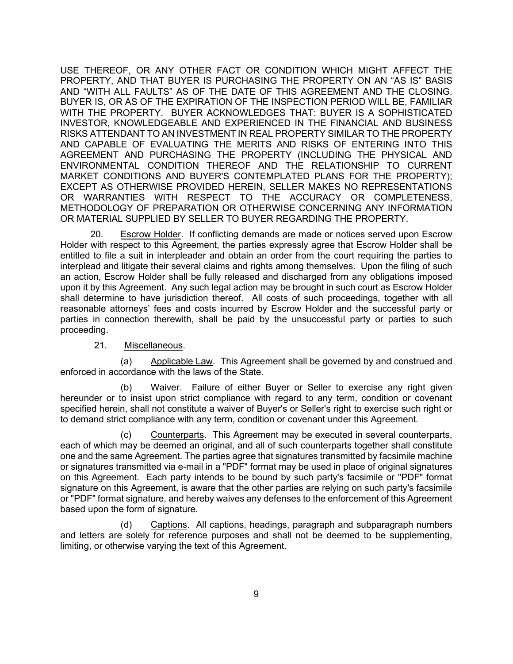USE THEREOF, OR ANY OTHER FACT OR CONDITION WHICH MIGHT AFFECT THE PROPERTY, AND THAT BUYER IS PURCHASING THE PROPERTY ON AN "AS IS" BASIS AND "WITH ALL FAULTS" AS OF THE DATE OF THIS AGREEMENT AND THE CLOSING. BUYER IS, OR AS OF THE EXPIRATION OF THE INSPECTION PERIOD WILL BE, FAMILIAR WITH THE PROPERTY. BUYER ACKNOWLEDGES THAT: BUYER IS A SOPHISTICATED INVESTOR, KNOWLEDGEABLE AND EXPERIENCED IN THE FINANCIAL AND BUSINESS RISKS ATTENDANT TO AN INVESTMENT IN REAL PROPERTY SIMILAR TO THE PROPERTY AND CAPABLE OF EVALUATING THE MERITS AND RISKS OF ENTERING INTO THIS AGREEMENT AND PURCHASING THE PROPERTY (INCLUDING THE PHYSICAL AND ENVIRONMENTAL CONDITION THEREOF AND THE RELATIONSHIP TO CURRENT MARKET CONDITIONS AND BUYER'S CONTEMPLATED PLANS FOR THE PROPERTY); EXCEPT AS OTHERWISE PROVIDED HEREIN, SELLER MAKES NO REPRESENTATIONS OR WARRANTIES WITH RESPECT TO THE ACCURACY OR COMPLETENESS, METHODOLOGY OF PREPARATION OR OTHERWISE CONCERNING ANY INFORMATION OR MATERIAL SUPPLIED BY SELLER TO BUYER REGARDING THE PROPERTY.

20. Escrow Holder. If conflicting demands are made or notices served upon Escrow Holder with respect to this Agreement, the parties expressly agree that Escrow Holder shall be entitled to file a suit in interpleader and obtain an order from the court requiring the parties to interplead and litigate their several claims and rights among themselves. Upon the filing of such an action, Escrow Holder shall be fully released and discharged from any obligations imposed upon it by this Agreement. Any such legal action may be brought in such court as Escrow Holder shall determine to have jurisdiction thereof. All costs of such proceedings, together with all reasonable attorneys' fees and costs incurred by Escrow Holder and the successful party or parties in connection therewith, shall be paid by the unsuccessful party or parties to such proceeding.

#### 21. Miscellaneous.

(a) Applicable Law. This Agreement shall be governed by and construed and enforced in accordance with the laws of the State.

(b) Waiver. Failure of either Buyer or Seller to exercise any right given hereunder or to insist upon strict compliance with regard to any term, condition or covenant specified herein, shall not constitute a waiver of Buyer's or Seller's right to exercise such right or to demand strict compliance with any term, condition or covenant under this Agreement.

(c) Counterparts. This Agreement may be executed in several counterparts, each of which may be deemed an original, and all of such counterparts together shall constitute one and the same Agreement. The parties agree that signatures transmitted by facsimile machine or signatures transmitted via e-mail in a "PDF" format may be used in place of original signatures on this Agreement. Each party intends to be bound by such party's facsimile or "PDF" format signature on this Agreement, is aware that the other parties are relying on such party's facsimile or "PDF" format signature, and hereby waives any defenses to the enforcement of this Agreement based upon the form of signature.

(d) Captions. All captions, headings, paragraph and subparagraph numbers and letters are solely for reference purposes and shall not be deemed to be supplementing, limiting, or otherwise varying the text of this Agreement.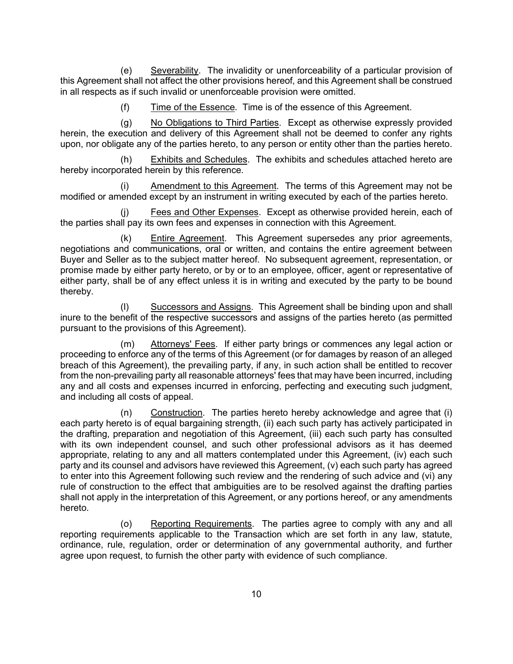(e) Severability. The invalidity or unenforceability of a particular provision of this Agreement shall not affect the other provisions hereof, and this Agreement shall be construed in all respects as if such invalid or unenforceable provision were omitted.

(f) Time of the Essence. Time is of the essence of this Agreement.

(g) No Obligations to Third Parties. Except as otherwise expressly provided herein, the execution and delivery of this Agreement shall not be deemed to confer any rights upon, nor obligate any of the parties hereto, to any person or entity other than the parties hereto.

(h) Exhibits and Schedules. The exhibits and schedules attached hereto are hereby incorporated herein by this reference.

(i) Amendment to this Agreement. The terms of this Agreement may not be modified or amended except by an instrument in writing executed by each of the parties hereto.

(j) Fees and Other Expenses. Except as otherwise provided herein, each of the parties shall pay its own fees and expenses in connection with this Agreement.

(k) Entire Agreement. This Agreement supersedes any prior agreements, negotiations and communications, oral or written, and contains the entire agreement between Buyer and Seller as to the subject matter hereof. No subsequent agreement, representation, or promise made by either party hereto, or by or to an employee, officer, agent or representative of either party, shall be of any effect unless it is in writing and executed by the party to be bound thereby.

(l) Successors and Assigns. This Agreement shall be binding upon and shall inure to the benefit of the respective successors and assigns of the parties hereto (as permitted pursuant to the provisions of this Agreement).

(m) Attorneys' Fees. If either party brings or commences any legal action or proceeding to enforce any of the terms of this Agreement (or for damages by reason of an alleged breach of this Agreement), the prevailing party, if any, in such action shall be entitled to recover from the non-prevailing party all reasonable attorneys' fees that may have been incurred, including any and all costs and expenses incurred in enforcing, perfecting and executing such judgment, and including all costs of appeal.

(n) Construction. The parties hereto hereby acknowledge and agree that (i) each party hereto is of equal bargaining strength, (ii) each such party has actively participated in the drafting, preparation and negotiation of this Agreement, (iii) each such party has consulted with its own independent counsel, and such other professional advisors as it has deemed appropriate, relating to any and all matters contemplated under this Agreement, (iv) each such party and its counsel and advisors have reviewed this Agreement, (v) each such party has agreed to enter into this Agreement following such review and the rendering of such advice and (vi) any rule of construction to the effect that ambiguities are to be resolved against the drafting parties shall not apply in the interpretation of this Agreement, or any portions hereof, or any amendments hereto.

(o) Reporting Requirements. The parties agree to comply with any and all reporting requirements applicable to the Transaction which are set forth in any law, statute, ordinance, rule, regulation, order or determination of any governmental authority, and further agree upon request, to furnish the other party with evidence of such compliance.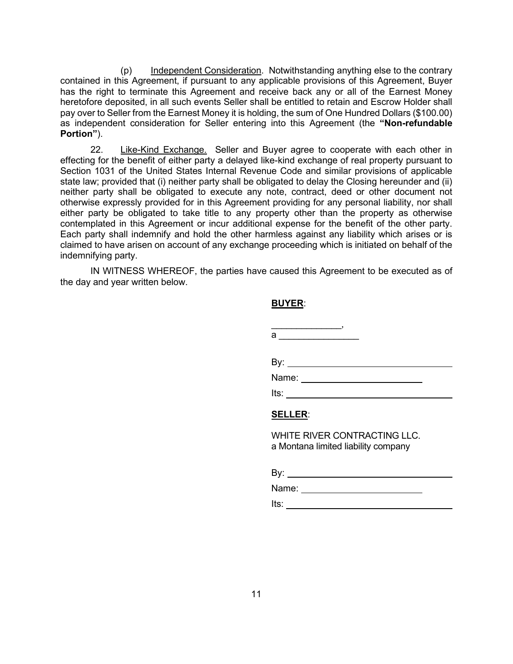(p) Independent Consideration. Notwithstanding anything else to the contrary contained in this Agreement, if pursuant to any applicable provisions of this Agreement, Buyer has the right to terminate this Agreement and receive back any or all of the Earnest Money heretofore deposited, in all such events Seller shall be entitled to retain and Escrow Holder shall pay over to Seller from the Earnest Money it is holding, the sum of One Hundred Dollars (\$100.00) as independent consideration for Seller entering into this Agreement (the **"Non-refundable Portion"**).

22. Like-Kind Exchange. Seller and Buyer agree to cooperate with each other in effecting for the benefit of either party a delayed like-kind exchange of real property pursuant to Section 1031 of the United States Internal Revenue Code and similar provisions of applicable state law; provided that (i) neither party shall be obligated to delay the Closing hereunder and (ii) neither party shall be obligated to execute any note, contract, deed or other document not otherwise expressly provided for in this Agreement providing for any personal liability, nor shall either party be obligated to take title to any property other than the property as otherwise contemplated in this Agreement or incur additional expense for the benefit of the other party. Each party shall indemnify and hold the other harmless against any liability which arises or is claimed to have arisen on account of any exchange proceeding which is initiated on behalf of the indemnifying party.

IN WITNESS WHEREOF, the parties have caused this Agreement to be executed as of the day and year written below.

#### **BUYER**:

| the control of the control of the control of |  |
|----------------------------------------------|--|
| a                                            |  |
|                                              |  |
|                                              |  |
| Name: ___________________                    |  |
| lts: ______________                          |  |
| CEIIED.                                      |  |

#### **SELLER**:

WHITE RIVER CONTRACTING LLC. a Montana limited liability company

By:

Name: \_\_\_\_\_\_\_\_\_\_\_\_\_\_\_\_\_\_\_\_\_\_\_\_\_\_\_\_\_

Its: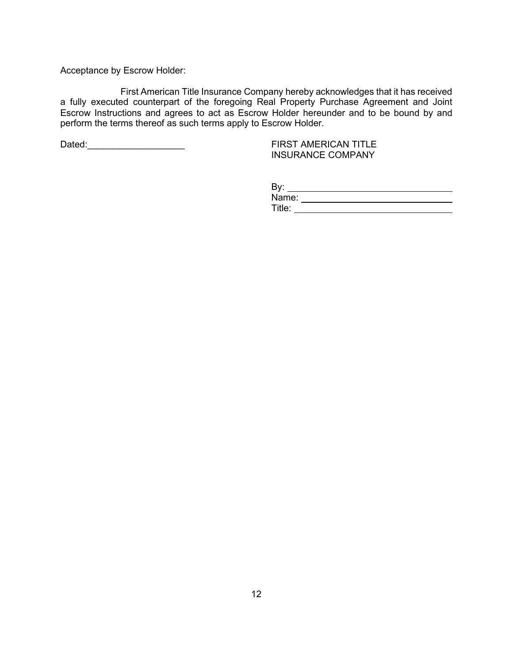Acceptance by Escrow Holder:

First American Title Insurance Company hereby acknowledges that it has received a fully executed counterpart of the foregoing Real Property Purchase Agreement and Joint Escrow Instructions and agrees to act as Escrow Holder hereunder and to be bound by and perform the terms thereof as such terms apply to Escrow Holder.

Dated:\_\_\_\_\_\_\_\_\_\_\_\_\_\_\_\_\_\_\_ FIRST AMERICAN TITLE

INSURANCE COMPANY

| Bv:    |  |
|--------|--|
| Name:  |  |
| Title: |  |